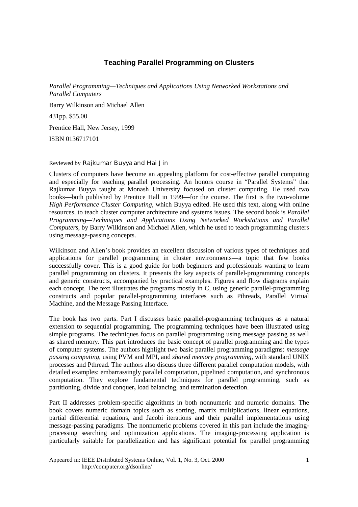## **Teaching Parallel Programming on Clusters**

*Parallel Programming—Techniques and Applications Using Networked Workstations and Parallel Computers*

Barry Wilkinson and Michael Allen 431pp. \$55.00 Prentice Hall, New Jersey, 1999 ISBN 0136717101

## Reviewed by Rajkumar Buyya and Hai Jin

Clusters of computers have become an appealing platform for cost-effective parallel computing and especially for teaching parallel processing. An honors course in "Parallel Systems" that Rajkumar Buyya taught at Monash University focused on cluster computing. He used two books—both published by Prentice Hall in 1999—for the course. The first is the two-volume *High Performance Cluster Computing*, which Buyya edited. He used this text, along with online resources, to teach cluster computer architecture and systems issues. The second book is *Parallel Programming—Techniques and Applications Using Networked Workstations and Parallel Computers*, by Barry Wilkinson and Michael Allen, which he used to teach programming clusters using message-passing concepts.

Wilkinson and Allen's book provides an excellent discussion of various types of techniques and applications for parallel programming in cluster environments—a topic that few books successfully cover. This is a good guide for both beginners and professionals wanting to learn parallel programming on clusters. It presents the key aspects of parallel-programming concepts and generic constructs, accompanied by practical examples. Figures and flow diagrams explain each concept. The text illustrates the programs mostly in C, using generic parallel-programming constructs and popular parallel-programming interfaces such as Pthreads, Parallel Virtual Machine, and the Message Passing Interface.

The book has two parts. Part I discusses basic parallel-programming techniques as a natural extension to sequential programming. The programming techniques have been illustrated using simple programs. The techniques focus on parallel programming using message passing as well as shared memory. This part introduces the basic concept of parallel programming and the types of computer systems. The authors highlight two basic parallel programming paradigms: *message passing computing*, using PVM and MPI, and *shared memory programming,* with standard UNIX processes and Pthread. The authors also discuss three different parallel computation models, with detailed examples: embarrassingly parallel computation, pipelined computation, and synchronous computation. They explore fundamental techniques for parallel programming, such as partitioning, divide and conquer**,** load balancing, and termination detection.

Part II addresses problem-specific algorithms in both nonnumeric and numeric domains. The book covers numeric domain topics such as sorting, matrix multiplications, linear equations, partial differential equations, and Jacobi iterations and their parallel implementations using message-passing paradigms. The nonnumeric problems covered in this part include the imagingprocessing searching and optimization applications. The imaging-processing application is particularly suitable for parallelization and has significant potential for parallel programming